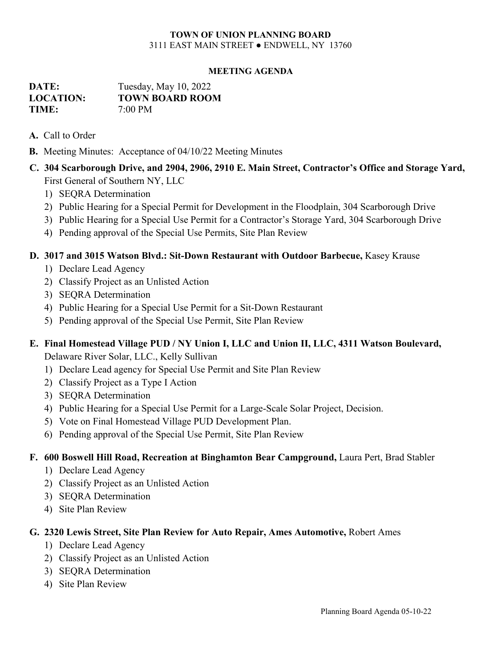#### **TOWN OF UNION PLANNING BOARD** 3111 EAST MAIN STREET ● ENDWELL, NY 13760

#### **MEETING AGENDA**

**DATE:** Tuesday, May 10, 2022 **LOCATION: TOWN BOARD ROOM TIME:** 7:00 PM

- **A.** Call to Order
- **B.** Meeting Minutes: Acceptance of 04/10/22 Meeting Minutes
- **C. 304 Scarborough Drive, and 2904, 2906, 2910 E. Main Street, Contractor's Office and Storage Yard,** First General of Southern NY, LLC
	- 1) SEQRA Determination
	- 2) Public Hearing for a Special Permit for Development in the Floodplain, 304 Scarborough Drive
	- 3) Public Hearing for a Special Use Permit for a Contractor's Storage Yard, 304 Scarborough Drive
	- 4) Pending approval of the Special Use Permits, Site Plan Review

### **D. 3017 and 3015 Watson Blvd.: Sit-Down Restaurant with Outdoor Barbecue,** Kasey Krause

- 1) Declare Lead Agency
- 2) Classify Project as an Unlisted Action
- 3) SEQRA Determination
- 4) Public Hearing for a Special Use Permit for a Sit-Down Restaurant
- 5) Pending approval of the Special Use Permit, Site Plan Review

# **E. Final Homestead Village PUD / NY Union I, LLC and Union II, LLC, 4311 Watson Boulevard,**

Delaware River Solar, LLC., Kelly Sullivan

- 1) Declare Lead agency for Special Use Permit and Site Plan Review
- 2) Classify Project as a Type I Action
- 3) SEQRA Determination
- 4) Public Hearing for a Special Use Permit for a Large-Scale Solar Project, Decision.
- 5) Vote on Final Homestead Village PUD Development Plan.
- 6) Pending approval of the Special Use Permit, Site Plan Review

## **F. 600 Boswell Hill Road, Recreation at Binghamton Bear Campground,** Laura Pert, Brad Stabler

- 1) Declare Lead Agency
- 2) Classify Project as an Unlisted Action
- 3) SEQRA Determination
- 4) Site Plan Review

### **G. 2320 Lewis Street, Site Plan Review for Auto Repair, Ames Automotive,** Robert Ames

- 1) Declare Lead Agency
- 2) Classify Project as an Unlisted Action
- 3) SEQRA Determination
- 4) Site Plan Review